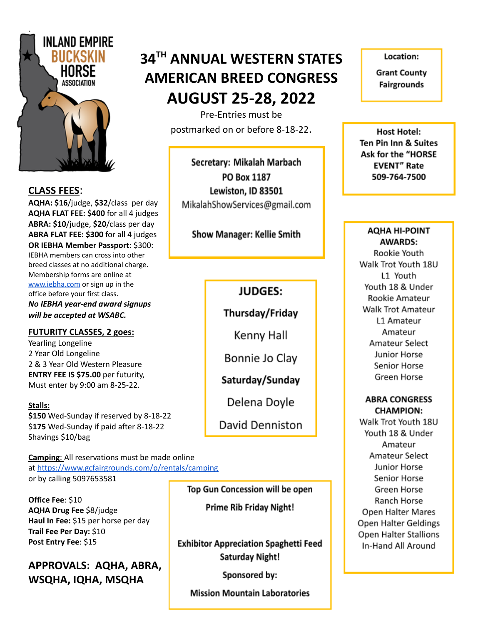

## **CLASS FEES**:

**AQHA: \$16**/judge, **\$32**/class per day **AQHA FLAT FEE: \$400** for all 4 judges **ABRA: \$10**/judge, **\$20**/class per day **ABRA FLAT FEE: \$300** for all 4 judges **OR IEBHA Member Passport**: \$300: IEBHA members can cross into other breed classes at no additional charge. Membership forms are online at [www.iebha.com](http://www.iebha.com) or sign up in the office before your first class. *No IEBHA year-end award signups will be accepted at WSABC.*

## **FUTURITY CLASSES, 2 goes:**

Yearling Longeline 2 Year Old Longeline 2 & 3 Year Old Western Pleasure **ENTRY FEE IS \$75.00** per futurity, Must enter by 9:00 am 8-25-22.

**Stalls: \$150** Wed-Sunday if reserved by 8-18-22 \$**175** Wed-Sunday if paid after 8-18-22 Shavings \$10/bag

**Camping**: All reservations must be made online at <https://www.gcfairgrounds.com/p/rentals/camping> or by calling 5097653581

**Office Fee**: \$10 **AQHA Drug Fee** \$8/judge **Haul In Fee:** \$15 per horse per day **Trail Fee Per Day:** \$10 **Post Entry Fee**: \$15

# **APPROVALS: AQHA, ABRA, WSQHA, IQHA, MSQHA**

# **34 TH ANNUAL WESTERN STATES AMERICAN BREED CONGRESS AUGUST 25-28, 2022**

Pre-Entries must be postmarked on or before 8-18-22.

Secretary: Mikalah Marbach PO Box 1187 Lewiston, ID 83501 MikalahShowServices@gmail.com

## **Show Manager: Kellie Smith**

# **JUDGES:**

Thursday/Friday

Kenny Hall

Bonnie Jo Clay

Saturday/Sunday

Delena Doyle

David Denniston

Location:

**Grant County Fairgrounds** 

**Host Hotel:** Ten Pin Inn & Suites Ask for the "HORSE **EVENT" Rate** 509-764-7500

### **AQHA HI-POINT AWARDS:**

Rookie Youth Walk Trot Youth 18U L1 Youth Youth 18 & Under Rookie Amateur **Walk Trot Amateur** L1 Amateur Amateur Amateur Select Junior Horse Senior Horse Green Horse

## **ABRA CONGRESS CHAMPION:**

Walk Trot Youth 18U Youth 18 & Under Amateur Amateur Select Junior Horse Senior Horse Green Horse Ranch Horse Open Halter Mares Open Halter Geldings Open Halter Stallions In-Hand All Around

Top Gun Concession will be open

**Prime Rib Friday Night!** 

**Exhibitor Appreciation Spaghetti Feed Saturday Night!** 

Sponsored by:

**Mission Mountain Laboratories**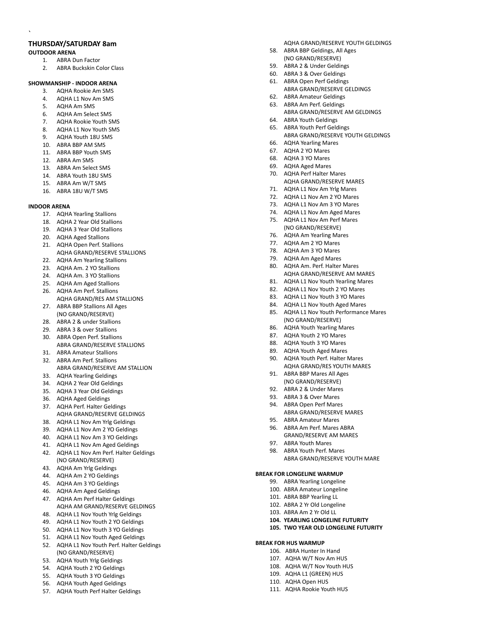#### THURSDAY/SATURDAY 8am OUTDOOR ARENA

1. ABRA Dun Factor

`

2. ABRA Buckskin Color Class

#### SHOWMANSHIP - INDOOR ARENA

- 3. AQHA Rookie Am SMS
- 4. AQHA L1 Nov Am SMS
- 5. AQHA Am SMS
- 6. AQHA Am Select SMS
- 7. AQHA Rookie Youth SMS
- 8. AQHA L1 Nov Youth SMS
- 9. AQHA Youth 18U SMS
- 10. ABRA BBP AM SMS
- 11. ABRA BBP Youth SMS
- 12. ABRA Am SMS
- 13. ABRA Am Select SMS
- 14. ABRA Youth 18U SMS
- 15. ABRA Am W/T SMS
- 16. ABRA 18U W/T SMS

#### **INDOOR ARENA**

- 17. AQHA Yearling Stallions
- 18. AQHA 2 Year Old Stallions
- 19. AQHA 3 Year Old Stallions
- 20. AQHA Aged Stallions
- 21. AQHA Open Perf. Stallions AQHA GRAND/RESERVE STALLIONS
- 22. AQHA Am Yearling Stallions
- 23. AQHA Am. 2 YO Stallions
- 24. AQHA Am. 3 YO Stallions
- 25. AQHA Am Aged Stallions
- 26. AQHA Am Perf. Stallions
- AQHA GRAND/RES AM STALLIONS 27. ABRA BBP Stallions All Ages
- (NO GRAND/RESERVE)
- 28. ABRA 2 & under Stallions
- 29. ABRA 3 & over Stallions
- 30. ABRA Open Perf. Stallions
- ABRA GRAND/RESERVE STALLIONS 31. ABRA Amateur Stallions
- 32. ABRA Am Perf. Stallions
- ABRA GRAND/RESERVE AM STALLION
- 33. AQHA Yearling Geldings
- 34. AQHA 2 Year Old Geldings
- 35. AQHA 3 Year Old Geldings
- 36. AQHA Aged Geldings
- 37. AQHA Perf. Halter Geldings AQHA GRAND/RESERVE GELDINGS
- 38. AQHA L1 Nov Am Yrlg Geldings
- 39. AQHA L1 Nov Am 2 YO Geldings
- 40. AQHA L1 Nov Am 3 YO Geldings
- 41. AQHA L1 Nov Am Aged Geldings
- 42. AQHA L1 Nov Am Perf. Halter Geldings (NO GRAND/RESERVE)
- 4 3. A Q H A A m Y rlg G eldin g s
- 44. AQHA Am 2 YO Geldings
- 45. AQHA Am 3 YO Geldings
- 46. AQHA Am Aged Geldings
- 47. AQHA Am Perf Halter Geldings
- AQHA AM GRAND/RESERVE GELDINGS 48. AQHA L1 Nov Youth Yrlg Geldings
- 49. AQHA L1 Nov Youth 2 YO Geldings
- 50. AQHA L1 Nov Youth 3 YO Geldings
- 51. AQHA L1 Nov Youth Aged Geldings
- 52. AQHA L1 Nov Youth Perf. Halter Geldings (NO GRAND/RESERVE)
- 53. AQHA Youth Yrlg Geldings
- 54. AQHA Youth 2 YO Geldings
- 55. AQHA Youth 3 YO Geldings
- 56. AQHA Youth Aged Geldings
- 57. AQHA Youth Perf Halter Geldings

AQHA GRAND/RESERVE YOUTH GELDINGS

- 58. ABRA BBP Geldings, All Ages
- (NO GRAND/RESERVE) 59. ABRA 2 & Under Geldings
- 60. ABRA 3 & Over Geldings
- 61. ABRA Open Perf Geldings
- ABRA GRAND/RESERVE GELDINGS
- 62. ABRA Amateur Geldings
- 63. ABRA Am Perf. Geldings ABRA GRAND/RESERVE AM GELDINGS
- 64. ABRA Youth Geldings
- 65. ABRA Youth Perf Geldings ABRA GRAND/RESERVE YOUTH GELDINGS
- 66. AQHA Yearling Mares
- 67. AQHA 2 YO Mares
- 68. AQHA 3 YO Mares
- 69. AQHA Aged Mares
- 70. AQHA Perf Halter Mares AQHA GRAND/RESERVE MARES
- 71. AQHA L1 Nov Am Yrlg Mares
- 72. AQHA L1 Nov Am 2 YO Mares
- 73. AQHA L1 Nov Am 3 YO Mares
- 74. AQHA L1 Nov Am Aged Mares
- 75. AQHA L1 Nov Am Perf Mares (NO GRAND/RESERVE)
- 76. AQHA Am Yearling Mares
- 77. AQHA Am 2 YO Mares
- 78. AQHA Am 3 YO Mares
- 79. AQHA Am Aged Mares
- 8 0. A QHA Am. Perf. Halter Mares AQHA GRAND/RESERVE AM MARES
- 81. AQHA L1 Nov Youth Yearling Mares
- 82. AQHA L1 Nov Youth 2 YO Mares
- 83. AQHA L1 Nov Youth 3 YO Mares
- 84. AQHA L1 Nov Youth Aged Mares
- 85. AQHA L1 Nov Youth Performance Mares (NO GRAND/RESERVE)
- 86. AQHA Youth Yearling Mares
- 87. AQHA Youth 2 YO Mares
- 88. AQHA Youth 3 YO Mares
- 89. AQHA Youth Aged Mares
- 90. AQHA Youth Perf. Halter Mares AQHA GRAND/RES YOUTH MARES

ABRA GRAND/RESERVE MARES

ABRA GRAND/RESERVE YOUTH MARE

104. YEARLING LONGELINE FUTURITY 105. TWO YEAR OLD LONGELINE FUTURITY

- 91. ABRA BBP Mares All Ages (NO GRAND/RESERVE)
- 92. ABRA 2 & Under Mares
- 93. ABRA 3 & Over Mares 94. ABRA Open Perf Mares

95. ABRA Amateur Mares 96. ABRA Am Perf. Mares ABRA GRAND/RESERVE AM MARES

97. ABRA Youth Mares 98. ABRA Youth Perf. Mares

BREAK FOR LONGELINE WARMUP 99. ABRA Yearling Longeline 100. ABRA Amateur Longeline 101. ABRA BBP Yearling LL 102. ABRA 2 Yr Old Longeline 1 0 3. A B R A A m 2 Y r Old L L

**BREAK FOR HUS WARMUP** 

106. ABRA Hunter In Hand 107. AQHA W/T Nov Am HUS 108. AQHA W/T Nov Youth HUS 109. AQHA L1 (GREEN) HUS 110. AQHA Open HUS 111. AQHA Rookie Youth HUS